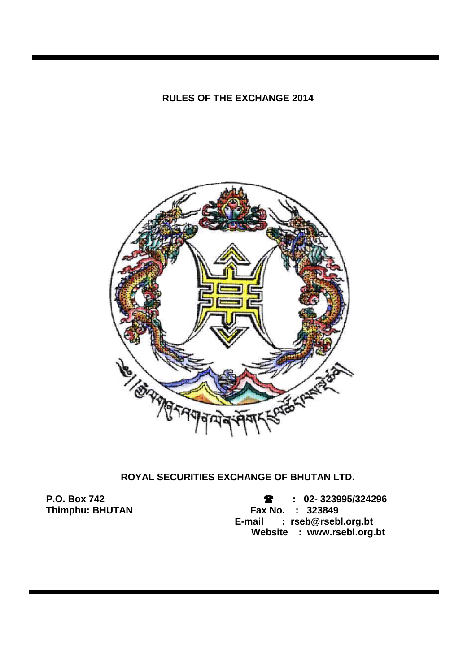### **RULES OF THE EXCHANGE 2014**



# **ROYAL SECURITIES EXCHANGE OF BHUTAN LTD.**

**P.O. Box 742 : 02- 323995/324296 Fax No. : 323849 E-mail : rseb@rsebl.org.bt Website : www.rsebl.org.bt**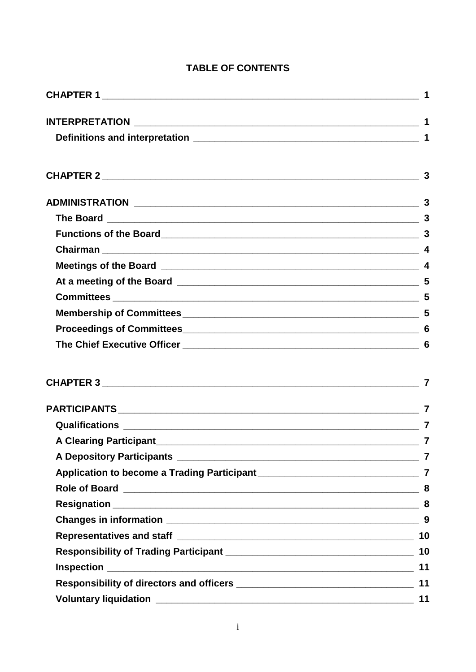# **TABLE OF CONTENTS**

|                               | $\overline{3}$ |  |  |
|-------------------------------|----------------|--|--|
|                               |                |  |  |
|                               |                |  |  |
|                               |                |  |  |
|                               |                |  |  |
|                               |                |  |  |
|                               |                |  |  |
|                               |                |  |  |
|                               | -6             |  |  |
|                               | 7              |  |  |
|                               |                |  |  |
|                               |                |  |  |
| <b>A Clearing Participant</b> |                |  |  |
|                               |                |  |  |
|                               |                |  |  |
|                               |                |  |  |
|                               |                |  |  |
|                               | 9              |  |  |
|                               |                |  |  |
|                               |                |  |  |
|                               |                |  |  |
|                               | 11             |  |  |
|                               | 11             |  |  |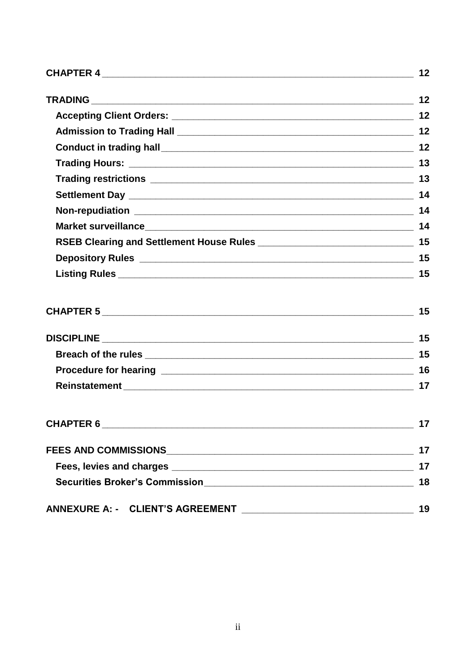|           | 14 |
|-----------|----|
|           |    |
|           |    |
|           |    |
|           |    |
|           | 15 |
|           |    |
|           |    |
|           |    |
|           |    |
| CHAPTER 6 | 17 |
|           | 17 |
|           | 17 |
|           | 18 |
|           | 19 |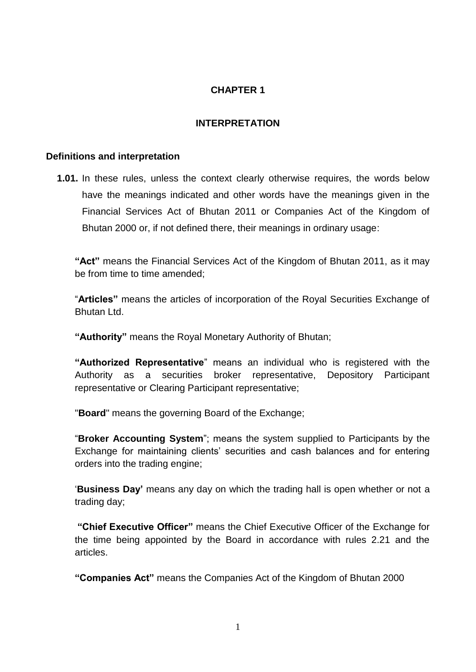## **CHAPTER 1**

### **INTERPRETATION**

#### <span id="page-3-2"></span><span id="page-3-1"></span><span id="page-3-0"></span>**Definitions and interpretation**

**1.01.** In these rules, unless the context clearly otherwise requires, the words below have the meanings indicated and other words have the meanings given in the Financial Services Act of Bhutan 2011 or Companies Act of the Kingdom of Bhutan 2000 or, if not defined there, their meanings in ordinary usage:

**"Act"** means the Financial Services Act of the Kingdom of Bhutan 2011, as it may be from time to time amended;

"**Articles"** means the articles of incorporation of the Royal Securities Exchange of Bhutan Ltd.

**"Authority"** means the Royal Monetary Authority of Bhutan;

**"Authorized Representative**" means an individual who is registered with the Authority as a securities broker representative, Depository Participant representative or Clearing Participant representative;

"**Board**" means the governing Board of the Exchange;

"**Broker Accounting System**"; means the system supplied to Participants by the Exchange for maintaining clients' securities and cash balances and for entering orders into the trading engine;

'**Business Day'** means any day on which the trading hall is open whether or not a trading day;

**"Chief Executive Officer"** means the Chief Executive Officer of the Exchange for the time being appointed by the Board in accordance with rules 2.21 and the articles.

**"Companies Act"** means the Companies Act of the Kingdom of Bhutan 2000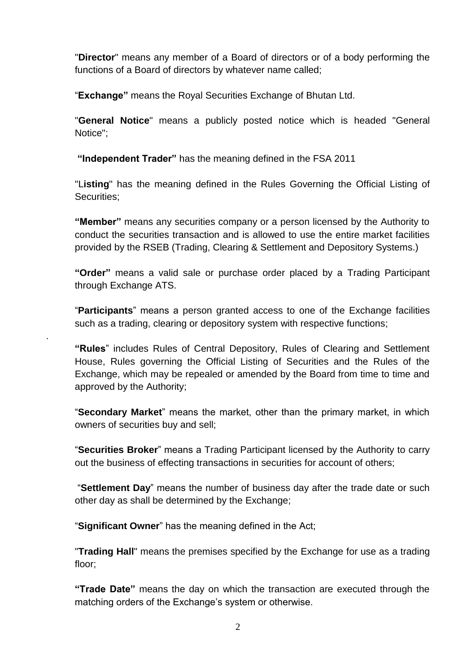"**Director**" means any member of a Board of directors or of a body performing the functions of a Board of directors by whatever name called;

"**Exchange"** means the Royal Securities Exchange of Bhutan Ltd.

"**General Notice**" means a publicly posted notice which is headed "General Notice";

**"Independent Trader"** has the meaning defined in the FSA 2011

"L**isting**" has the meaning defined in the Rules Governing the Official Listing of Securities;

**"Member"** means any securities company or a person licensed by the Authority to conduct the securities transaction and is allowed to use the entire market facilities provided by the RSEB (Trading, Clearing & Settlement and Depository Systems.)

**"Order"** means a valid sale or purchase order placed by a Trading Participant through Exchange ATS.

"**Participants**" means a person granted access to one of the Exchange facilities such as a trading, clearing or depository system with respective functions;

**"Rules**" includes Rules of Central Depository, Rules of Clearing and Settlement House, Rules governing the Official Listing of Securities and the Rules of the Exchange, which may be repealed or amended by the Board from time to time and approved by the Authority;

"**Secondary Market**" means the market, other than the primary market, in which owners of securities buy and sell;

"**Securities Broker**" means a Trading Participant licensed by the Authority to carry out the business of effecting transactions in securities for account of others;

"**Settlement Day**" means the number of business day after the trade date or such other day as shall be determined by the Exchange;

"**Significant Owner**" has the meaning defined in the Act;

.

"**Trading Hall**" means the premises specified by the Exchange for use as a trading floor;

**"Trade Date"** means the day on which the transaction are executed through the matching orders of the Exchange's system or otherwise.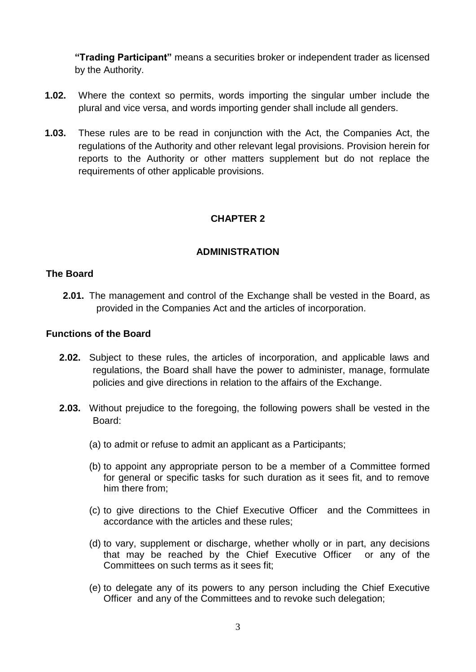**"Trading Participant"** means a securities broker or independent trader as licensed by the Authority.

- **1.02.** Where the context so permits, words importing the singular umber include the plural and vice versa, and words importing gender shall include all genders.
- **1.03.** These rules are to be read in conjunction with the Act, the Companies Act, the regulations of the Authority and other relevant legal provisions. Provision herein for reports to the Authority or other matters supplement but do not replace the requirements of other applicable provisions.

# **CHAPTER 2**

### **ADMINISTRATION**

### <span id="page-5-2"></span><span id="page-5-1"></span><span id="page-5-0"></span>**The Board**

**2.01.** The management and control of the Exchange shall be vested in the Board, as provided in the Companies Act and the articles of incorporation.

#### <span id="page-5-3"></span>**Functions of the Board**

- **2.02.** Subject to these rules, the articles of incorporation, and applicable laws and regulations, the Board shall have the power to administer, manage, formulate policies and give directions in relation to the affairs of the Exchange.
- **2.03.** Without prejudice to the foregoing, the following powers shall be vested in the Board:
	- (a) to admit or refuse to admit an applicant as a Participants;
	- (b) to appoint any appropriate person to be a member of a Committee formed for general or specific tasks for such duration as it sees fit, and to remove him there from;
	- (c) to give directions to the Chief Executive Officer and the Committees in accordance with the articles and these rules;
	- (d) to vary, supplement or discharge, whether wholly or in part, any decisions that may be reached by the Chief Executive Officer or any of the Committees on such terms as it sees fit;
	- (e) to delegate any of its powers to any person including the Chief Executive Officer and any of the Committees and to revoke such delegation;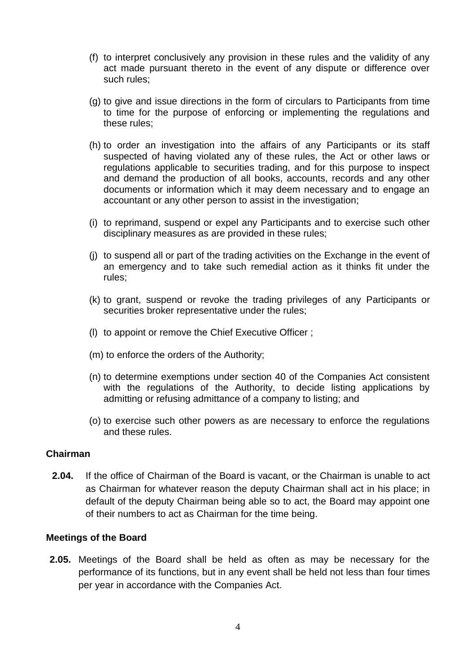- (f) to interpret conclusively any provision in these rules and the validity of any act made pursuant thereto in the event of any dispute or difference over such rules;
- (g) to give and issue directions in the form of circulars to Participants from time to time for the purpose of enforcing or implementing the regulations and these rules;
- (h) to order an investigation into the affairs of any Participants or its staff suspected of having violated any of these rules, the Act or other laws or regulations applicable to securities trading, and for this purpose to inspect and demand the production of all books, accounts, records and any other documents or information which it may deem necessary and to engage an accountant or any other person to assist in the investigation;
- (i) to reprimand, suspend or expel any Participants and to exercise such other disciplinary measures as are provided in these rules;
- (j) to suspend all or part of the trading activities on the Exchange in the event of an emergency and to take such remedial action as it thinks fit under the rules;
- (k) to grant, suspend or revoke the trading privileges of any Participants or securities broker representative under the rules;
- (l) to appoint or remove the Chief Executive Officer ;
- (m) to enforce the orders of the Authority;
- (n) to determine exemptions under section 40 of the Companies Act consistent with the regulations of the Authority, to decide listing applications by admitting or refusing admittance of a company to listing; and
- (o) to exercise such other powers as are necessary to enforce the regulations and these rules.

### <span id="page-6-0"></span>**Chairman**

**2.04.** If the office of Chairman of the Board is vacant, or the Chairman is unable to act as Chairman for whatever reason the deputy Chairman shall act in his place; in default of the deputy Chairman being able so to act, the Board may appoint one of their numbers to act as Chairman for the time being.

#### <span id="page-6-1"></span>**Meetings of the Board**

**2.05.** Meetings of the Board shall be held as often as may be necessary for the performance of its functions, but in any event shall be held not less than four times per year in accordance with the Companies Act.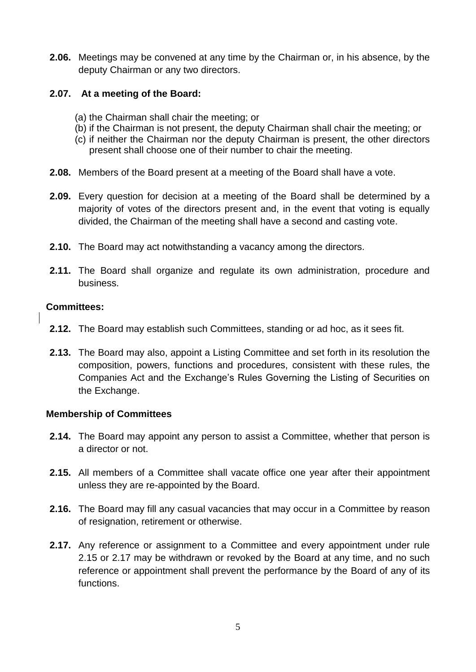**2.06.** Meetings may be convened at any time by the Chairman or, in his absence, by the deputy Chairman or any two directors.

### **2.07. At a meeting of the Board:**

- <span id="page-7-0"></span>(a) the Chairman shall chair the meeting; or
- (b) if the Chairman is not present, the deputy Chairman shall chair the meeting; or
- (c) if neither the Chairman nor the deputy Chairman is present, the other directors present shall choose one of their number to chair the meeting.
- **2.08.** Members of the Board present at a meeting of the Board shall have a vote.
- **2.09.** Every question for decision at a meeting of the Board shall be determined by a majority of votes of the directors present and, in the event that voting is equally divided, the Chairman of the meeting shall have a second and casting vote.
- **2.10.** The Board may act notwithstanding a vacancy among the directors.
- **2.11.** The Board shall organize and regulate its own administration, procedure and business.

#### <span id="page-7-1"></span>**Committees:**

- **2.12.** The Board may establish such Committees, standing or ad hoc, as it sees fit.
- **2.13.** The Board may also, appoint a Listing Committee and set forth in its resolution the composition, powers, functions and procedures, consistent with these rules, the Companies Act and the Exchange's Rules Governing the Listing of Securities on the Exchange.

### <span id="page-7-2"></span>**Membership of Committees**

- **2.14.** The Board may appoint any person to assist a Committee, whether that person is a director or not.
- **2.15.** All members of a Committee shall vacate office one year after their appointment unless they are re-appointed by the Board.
- **2.16.** The Board may fill any casual vacancies that may occur in a Committee by reason of resignation, retirement or otherwise.
- **2.17.** Any reference or assignment to a Committee and every appointment under rule 2.15 or 2.17 may be withdrawn or revoked by the Board at any time, and no such reference or appointment shall prevent the performance by the Board of any of its functions.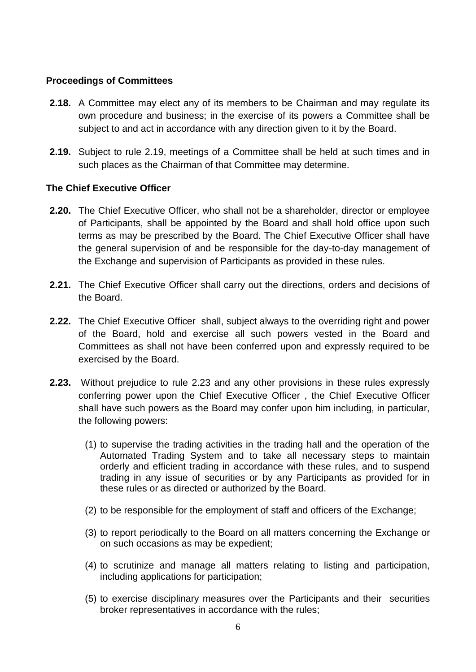### <span id="page-8-0"></span>**Proceedings of Committees**

- **2.18.** A Committee may elect any of its members to be Chairman and may regulate its own procedure and business; in the exercise of its powers a Committee shall be subject to and act in accordance with any direction given to it by the Board.
- **2.19.** Subject to rule 2.19, meetings of a Committee shall be held at such times and in such places as the Chairman of that Committee may determine.

### <span id="page-8-1"></span>**The Chief Executive Officer**

- **2.20.** The Chief Executive Officer, who shall not be a shareholder, director or employee of Participants, shall be appointed by the Board and shall hold office upon such terms as may be prescribed by the Board. The Chief Executive Officer shall have the general supervision of and be responsible for the day-to-day management of the Exchange and supervision of Participants as provided in these rules.
- **2.21.** The Chief Executive Officer shall carry out the directions, orders and decisions of the Board.
- **2.22.** The Chief Executive Officer shall, subject always to the overriding right and power of the Board, hold and exercise all such powers vested in the Board and Committees as shall not have been conferred upon and expressly required to be exercised by the Board.
- **2.23.** Without prejudice to rule 2.23 and any other provisions in these rules expressly conferring power upon the Chief Executive Officer , the Chief Executive Officer shall have such powers as the Board may confer upon him including, in particular, the following powers:
	- (1) to supervise the trading activities in the trading hall and the operation of the Automated Trading System and to take all necessary steps to maintain orderly and efficient trading in accordance with these rules, and to suspend trading in any issue of securities or by any Participants as provided for in these rules or as directed or authorized by the Board.
	- (2) to be responsible for the employment of staff and officers of the Exchange;
	- (3) to report periodically to the Board on all matters concerning the Exchange or on such occasions as may be expedient;
	- (4) to scrutinize and manage all matters relating to listing and participation, including applications for participation;
	- (5) to exercise disciplinary measures over the Participants and their securities broker representatives in accordance with the rules;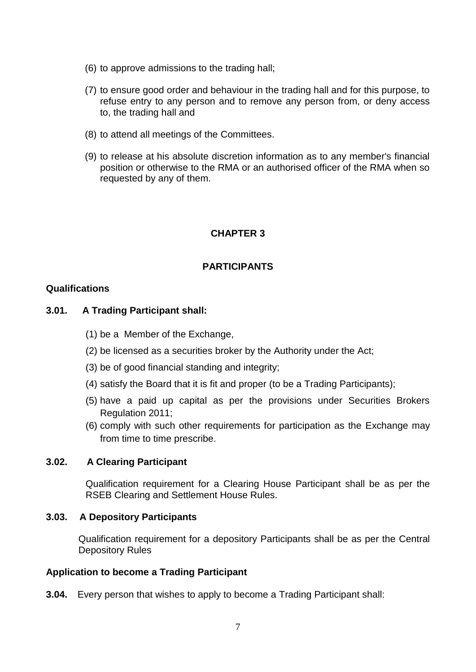- (6) to approve admissions to the trading hall;
- (7) to ensure good order and behaviour in the trading hall and for this purpose, to refuse entry to any person and to remove any person from, or deny access to, the trading hall and
- (8) to attend all meetings of the Committees.
- (9) to release at his absolute discretion information as to any member's financial position or otherwise to the RMA or an authorised officer of the RMA when so requested by any of them.

# **CHAPTER 3**

### **PARTICIPANTS**

### <span id="page-9-2"></span><span id="page-9-1"></span><span id="page-9-0"></span>**Qualifications**

### **3.01. A Trading Participant shall:**

- (1) be a Member of the Exchange,
- (2) be licensed as a securities broker by the Authority under the Act;
- (3) be of good financial standing and integrity;
- (4) satisfy the Board that it is fit and proper (to be a Trading Participants);
- (5) have a paid up capital as per the provisions under Securities Brokers Regulation 2011;
- (6) comply with such other requirements for participation as the Exchange may from time to time prescribe.

### **3.02. A Clearing Participant**

<span id="page-9-3"></span>Qualification requirement for a Clearing House Participant shall be as per the RSEB Clearing and Settlement House Rules.

#### <span id="page-9-4"></span>**3.03. A Depository Participants**

Qualification requirement for a depository Participants shall be as per the Central Depository Rules

#### <span id="page-9-5"></span>**Application to become a Trading Participant**

**3.04.** Every person that wishes to apply to become a Trading Participant shall: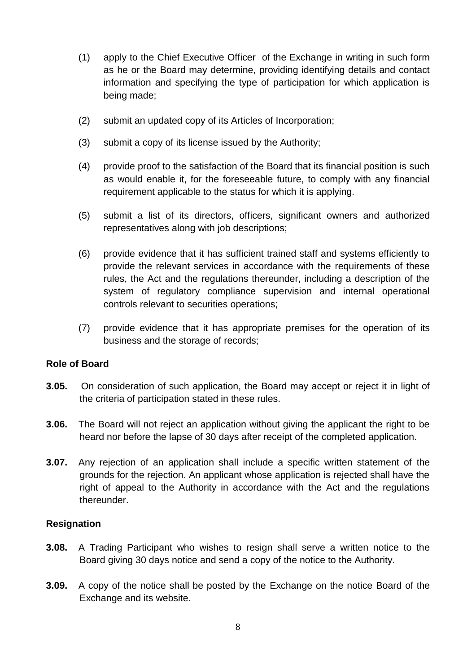- (1) apply to the Chief Executive Officer of the Exchange in writing in such form as he or the Board may determine, providing identifying details and contact information and specifying the type of participation for which application is being made;
- (2) submit an updated copy of its Articles of Incorporation;
- (3) submit a copy of its license issued by the Authority;
- (4) provide proof to the satisfaction of the Board that its financial position is such as would enable it, for the foreseeable future, to comply with any financial requirement applicable to the status for which it is applying.
- (5) submit a list of its directors, officers, significant owners and authorized representatives along with job descriptions;
- (6) provide evidence that it has sufficient trained staff and systems efficiently to provide the relevant services in accordance with the requirements of these rules, the Act and the regulations thereunder, including a description of the system of regulatory compliance supervision and internal operational controls relevant to securities operations;
- (7) provide evidence that it has appropriate premises for the operation of its business and the storage of records;

### <span id="page-10-0"></span>**Role of Board**

- **3.05.** On consideration of such application, the Board may accept or reject it in light of the criteria of participation stated in these rules.
- **3.06.** The Board will not reject an application without giving the applicant the right to be heard nor before the lapse of 30 days after receipt of the completed application.
- **3.07.** Any rejection of an application shall include a specific written statement of the grounds for the rejection. An applicant whose application is rejected shall have the right of appeal to the Authority in accordance with the Act and the regulations thereunder.

### <span id="page-10-1"></span>**Resignation**

- **3.08.** A Trading Participant who wishes to resign shall serve a written notice to the Board giving 30 days notice and send a copy of the notice to the Authority.
- **3.09.** A copy of the notice shall be posted by the Exchange on the notice Board of the Exchange and its website.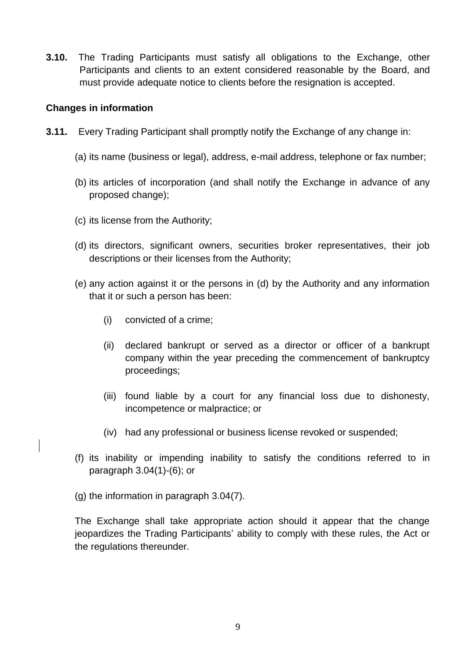**3.10.** The Trading Participants must satisfy all obligations to the Exchange, other Participants and clients to an extent considered reasonable by the Board, and must provide adequate notice to clients before the resignation is accepted.

### <span id="page-11-0"></span>**Changes in information**

- **3.11.** Every Trading Participant shall promptly notify the Exchange of any change in:
	- (a) its name (business or legal), address, e-mail address, telephone or fax number;
	- (b) its articles of incorporation (and shall notify the Exchange in advance of any proposed change);
	- (c) its license from the Authority;
	- (d) its directors, significant owners, securities broker representatives, their job descriptions or their licenses from the Authority;
	- (e) any action against it or the persons in (d) by the Authority and any information that it or such a person has been:
		- (i) convicted of a crime;
		- (ii) declared bankrupt or served as a director or officer of a bankrupt company within the year preceding the commencement of bankruptcy proceedings;
		- (iii) found liable by a court for any financial loss due to dishonesty, incompetence or malpractice; or
		- (iv) had any professional or business license revoked or suspended;
	- (f) its inability or impending inability to satisfy the conditions referred to in paragraph 3.04(1)-(6); or
	- (g) the information in paragraph 3.04(7).

The Exchange shall take appropriate action should it appear that the change jeopardizes the Trading Participants' ability to comply with these rules, the Act or the regulations thereunder.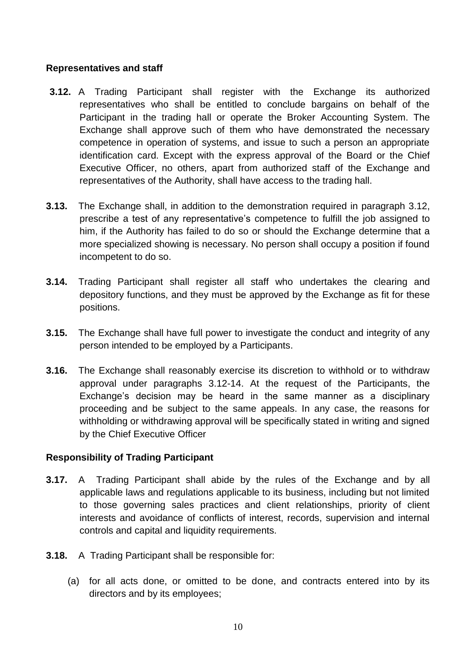### <span id="page-12-0"></span>**Representatives and staff**

- **3.12.** A Trading Participant shall register with the Exchange its authorized representatives who shall be entitled to conclude bargains on behalf of the Participant in the trading hall or operate the Broker Accounting System. The Exchange shall approve such of them who have demonstrated the necessary competence in operation of systems, and issue to such a person an appropriate identification card. Except with the express approval of the Board or the Chief Executive Officer, no others, apart from authorized staff of the Exchange and representatives of the Authority, shall have access to the trading hall.
- **3.13.** The Exchange shall, in addition to the demonstration required in paragraph 3.12, prescribe a test of any representative's competence to fulfill the job assigned to him, if the Authority has failed to do so or should the Exchange determine that a more specialized showing is necessary. No person shall occupy a position if found incompetent to do so.
- **3.14.** Trading Participant shall register all staff who undertakes the clearing and depository functions, and they must be approved by the Exchange as fit for these positions.
- **3.15.** The Exchange shall have full power to investigate the conduct and integrity of any person intended to be employed by a Participants.
- **3.16.** The Exchange shall reasonably exercise its discretion to withhold or to withdraw approval under paragraphs 3.12-14. At the request of the Participants, the Exchange's decision may be heard in the same manner as a disciplinary proceeding and be subject to the same appeals. In any case, the reasons for withholding or withdrawing approval will be specifically stated in writing and signed by the Chief Executive Officer

### <span id="page-12-1"></span>**Responsibility of Trading Participant**

- **3.17.** A Trading Participant shall abide by the rules of the Exchange and by all applicable laws and regulations applicable to its business, including but not limited to those governing sales practices and client relationships, priority of client interests and avoidance of conflicts of interest, records, supervision and internal controls and capital and liquidity requirements.
- **3.18.** A Trading Participant shall be responsible for:
	- (a) for all acts done, or omitted to be done, and contracts entered into by its directors and by its employees;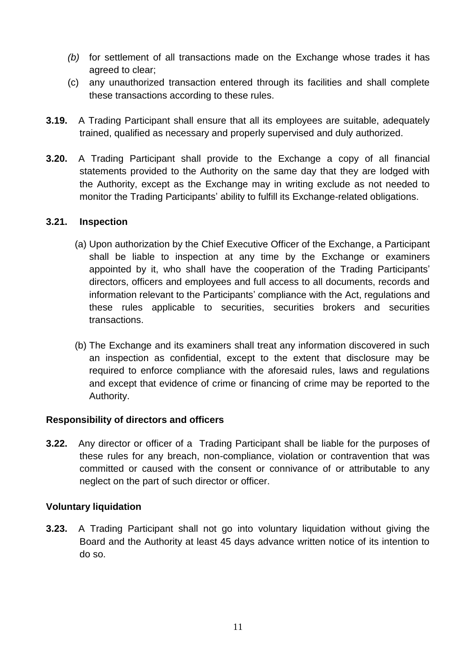- *(b)* for settlement of all transactions made on the Exchange whose trades it has agreed to clear;
- (c) any unauthorized transaction entered through its facilities and shall complete these transactions according to these rules.
- **3.19.** A Trading Participant shall ensure that all its employees are suitable, adequately trained, qualified as necessary and properly supervised and duly authorized.
- **3.20.** A Trading Participant shall provide to the Exchange a copy of all financial statements provided to the Authority on the same day that they are lodged with the Authority, except as the Exchange may in writing exclude as not needed to monitor the Trading Participants' ability to fulfill its Exchange-related obligations.

### <span id="page-13-0"></span>**3.21. Inspection**

- (a) Upon authorization by the Chief Executive Officer of the Exchange, a Participant shall be liable to inspection at any time by the Exchange or examiners appointed by it, who shall have the cooperation of the Trading Participants' directors, officers and employees and full access to all documents, records and information relevant to the Participants' compliance with the Act, regulations and these rules applicable to securities, securities brokers and securities transactions.
- (b) The Exchange and its examiners shall treat any information discovered in such an inspection as confidential, except to the extent that disclosure may be required to enforce compliance with the aforesaid rules, laws and regulations and except that evidence of crime or financing of crime may be reported to the Authority.

### <span id="page-13-1"></span>**Responsibility of directors and officers**

**3.22.** Any director or officer of a Trading Participant shall be liable for the purposes of these rules for any breach, non-compliance, violation or contravention that was committed or caused with the consent or connivance of or attributable to any neglect on the part of such director or officer.

### <span id="page-13-2"></span>**Voluntary liquidation**

**3.23.** A Trading Participant shall not go into voluntary liquidation without giving the Board and the Authority at least 45 days advance written notice of its intention to do so.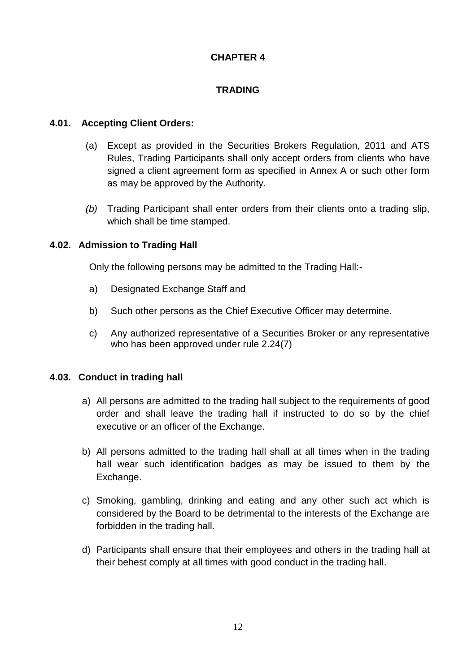## **CHAPTER 4**

## **TRADING**

### <span id="page-14-1"></span><span id="page-14-0"></span>**4.01. Accepting Client Orders:**

- <span id="page-14-2"></span>(a) Except as provided in the Securities Brokers Regulation, 2011 and ATS Rules, Trading Participants shall only accept orders from clients who have signed a client agreement form as specified in Annex A or such other form as may be approved by the Authority.
- *(b)* Trading Participant shall enter orders from their clients onto a trading slip, which shall be time stamped.

### <span id="page-14-3"></span>**4.02. Admission to Trading Hall**

Only the following persons may be admitted to the Trading Hall:-

- a) Designated Exchange Staff and
- b) Such other persons as the Chief Executive Officer may determine.
- c) Any authorized representative of a Securities Broker or any representative who has been approved under rule 2.24(7)

### <span id="page-14-4"></span>**4.03. Conduct in trading hall**

- a) All persons are admitted to the trading hall subject to the requirements of good order and shall leave the trading hall if instructed to do so by the chief executive or an officer of the Exchange.
- b) All persons admitted to the trading hall shall at all times when in the trading hall wear such identification badges as may be issued to them by the Exchange.
- c) Smoking, gambling, drinking and eating and any other such act which is considered by the Board to be detrimental to the interests of the Exchange are forbidden in the trading hall.
- d) Participants shall ensure that their employees and others in the trading hall at their behest comply at all times with good conduct in the trading hall.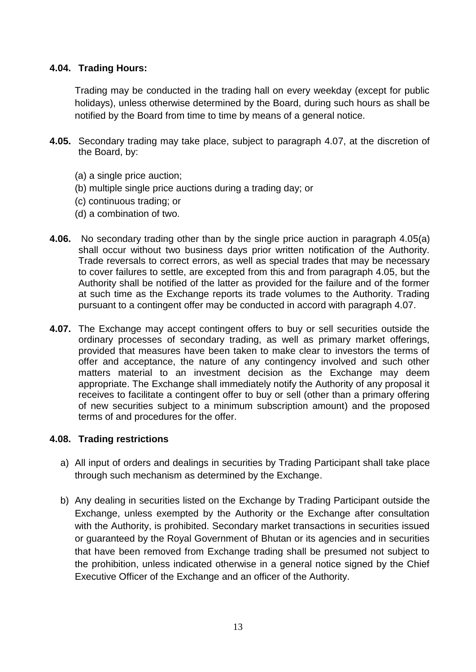### <span id="page-15-0"></span>**4.04. Trading Hours:**

Trading may be conducted in the trading hall on every weekday (except for public holidays), unless otherwise determined by the Board, during such hours as shall be notified by the Board from time to time by means of a general notice.

- **4.05.** Secondary trading may take place, subject to paragraph 4.07, at the discretion of the Board, by:
	- (a) a single price auction;
	- (b) multiple single price auctions during a trading day; or
	- (c) continuous trading; or
	- (d) a combination of two.
- **4.06.** No secondary trading other than by the single price auction in paragraph 4.05(a) shall occur without two business days prior written notification of the Authority. Trade reversals to correct errors, as well as special trades that may be necessary to cover failures to settle, are excepted from this and from paragraph 4.05, but the Authority shall be notified of the latter as provided for the failure and of the former at such time as the Exchange reports its trade volumes to the Authority. Trading pursuant to a contingent offer may be conducted in accord with paragraph 4.07.
- **4.07.** The Exchange may accept contingent offers to buy or sell securities outside the ordinary processes of secondary trading, as well as primary market offerings, provided that measures have been taken to make clear to investors the terms of offer and acceptance, the nature of any contingency involved and such other matters material to an investment decision as the Exchange may deem appropriate. The Exchange shall immediately notify the Authority of any proposal it receives to facilitate a contingent offer to buy or sell (other than a primary offering of new securities subject to a minimum subscription amount) and the proposed terms of and procedures for the offer.

### <span id="page-15-1"></span>**4.08. Trading restrictions**

- a) All input of orders and dealings in securities by Trading Participant shall take place through such mechanism as determined by the Exchange.
- b) Any dealing in securities listed on the Exchange by Trading Participant outside the Exchange, unless exempted by the Authority or the Exchange after consultation with the Authority, is prohibited. Secondary market transactions in securities issued or guaranteed by the Royal Government of Bhutan or its agencies and in securities that have been removed from Exchange trading shall be presumed not subject to the prohibition, unless indicated otherwise in a general notice signed by the Chief Executive Officer of the Exchange and an officer of the Authority.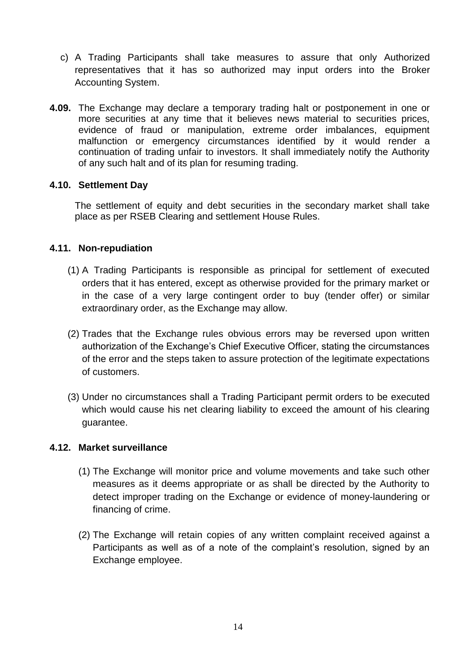- c) A Trading Participants shall take measures to assure that only Authorized representatives that it has so authorized may input orders into the Broker Accounting System.
- **4.09.** The Exchange may declare a temporary trading halt or postponement in one or more securities at any time that it believes news material to securities prices, evidence of fraud or manipulation, extreme order imbalances, equipment malfunction or emergency circumstances identified by it would render a continuation of trading unfair to investors. It shall immediately notify the Authority of any such halt and of its plan for resuming trading.

### <span id="page-16-0"></span>**4.10. Settlement Day**

The settlement of equity and debt securities in the secondary market shall take place as per RSEB Clearing and settlement House Rules.

### <span id="page-16-1"></span>**4.11. Non-repudiation**

- (1) A Trading Participants is responsible as principal for settlement of executed orders that it has entered, except as otherwise provided for the primary market or in the case of a very large contingent order to buy (tender offer) or similar extraordinary order, as the Exchange may allow.
- (2) Trades that the Exchange rules obvious errors may be reversed upon written authorization of the Exchange's Chief Executive Officer, stating the circumstances of the error and the steps taken to assure protection of the legitimate expectations of customers.
- (3) Under no circumstances shall a Trading Participant permit orders to be executed which would cause his net clearing liability to exceed the amount of his clearing guarantee.

### <span id="page-16-2"></span>**4.12. Market surveillance**

- (1) The Exchange will monitor price and volume movements and take such other measures as it deems appropriate or as shall be directed by the Authority to detect improper trading on the Exchange or evidence of money-laundering or financing of crime.
- (2) The Exchange will retain copies of any written complaint received against a Participants as well as of a note of the complaint's resolution, signed by an Exchange employee.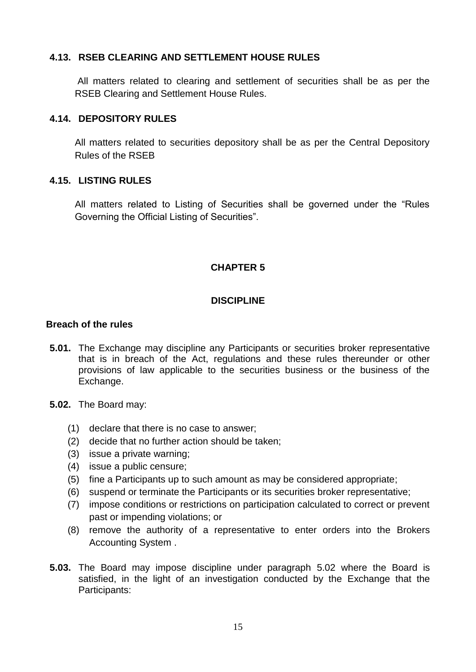### <span id="page-17-0"></span>**4.13. RSEB CLEARING AND SETTLEMENT HOUSE RULES**

All matters related to clearing and settlement of securities shall be as per the RSEB Clearing and Settlement House Rules.

### <span id="page-17-1"></span>**4.14. DEPOSITORY RULES**

All matters related to securities depository shall be as per the Central Depository Rules of the RSEB

### <span id="page-17-2"></span>**4.15. LISTING RULES**

All matters related to Listing of Securities shall be governed under the "Rules Governing the Official Listing of Securities".

# **CHAPTER 5**

### **DISCIPLINE**

### <span id="page-17-5"></span><span id="page-17-4"></span><span id="page-17-3"></span>**Breach of the rules**

- **5.01.** The Exchange may discipline any Participants or securities broker representative that is in breach of the Act, regulations and these rules thereunder or other provisions of law applicable to the securities business or the business of the Exchange.
- **5.02.** The Board may:
	- (1) declare that there is no case to answer;
	- (2) decide that no further action should be taken;
	- (3) issue a private warning;
	- (4) issue a public censure;
	- (5) fine a Participants up to such amount as may be considered appropriate;
	- (6) suspend or terminate the Participants or its securities broker representative;
	- (7) impose conditions or restrictions on participation calculated to correct or prevent past or impending violations; or
	- (8) remove the authority of a representative to enter orders into the Brokers Accounting System .
- **5.03.** The Board may impose discipline under paragraph 5.02 where the Board is satisfied, in the light of an investigation conducted by the Exchange that the Participants: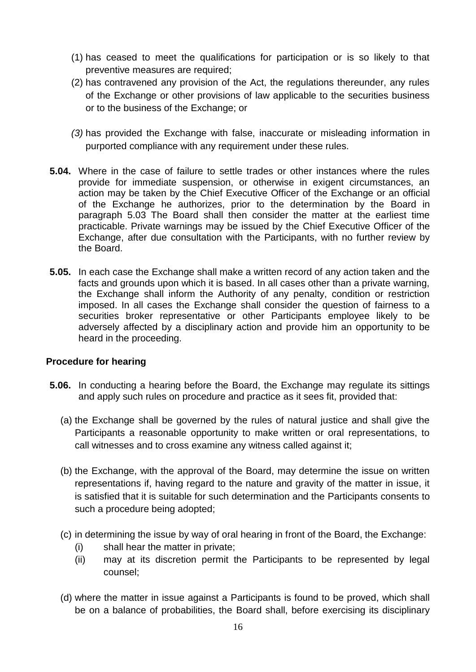- (1) has ceased to meet the qualifications for participation or is so likely to that preventive measures are required;
- (2) has contravened any provision of the Act, the regulations thereunder, any rules of the Exchange or other provisions of law applicable to the securities business or to the business of the Exchange; or
- *(3)* has provided the Exchange with false, inaccurate or misleading information in purported compliance with any requirement under these rules.
- **5.04.** Where in the case of failure to settle trades or other instances where the rules provide for immediate suspension, or otherwise in exigent circumstances, an action may be taken by the Chief Executive Officer of the Exchange or an official of the Exchange he authorizes, prior to the determination by the Board in paragraph 5.03 The Board shall then consider the matter at the earliest time practicable. Private warnings may be issued by the Chief Executive Officer of the Exchange, after due consultation with the Participants, with no further review by the Board.
- **5.05.** In each case the Exchange shall make a written record of any action taken and the facts and grounds upon which it is based. In all cases other than a private warning, the Exchange shall inform the Authority of any penalty, condition or restriction imposed. In all cases the Exchange shall consider the question of fairness to a securities broker representative or other Participants employee likely to be adversely affected by a disciplinary action and provide him an opportunity to be heard in the proceeding.

### <span id="page-18-0"></span>**Procedure for hearing**

- **5.06.** In conducting a hearing before the Board, the Exchange may regulate its sittings and apply such rules on procedure and practice as it sees fit, provided that:
	- (a) the Exchange shall be governed by the rules of natural justice and shall give the Participants a reasonable opportunity to make written or oral representations, to call witnesses and to cross examine any witness called against it;
	- (b) the Exchange, with the approval of the Board, may determine the issue on written representations if, having regard to the nature and gravity of the matter in issue, it is satisfied that it is suitable for such determination and the Participants consents to such a procedure being adopted;
	- (c) in determining the issue by way of oral hearing in front of the Board, the Exchange:
		- (i) shall hear the matter in private;
		- (ii) may at its discretion permit the Participants to be represented by legal counsel;
	- (d) where the matter in issue against a Participants is found to be proved, which shall be on a balance of probabilities, the Board shall, before exercising its disciplinary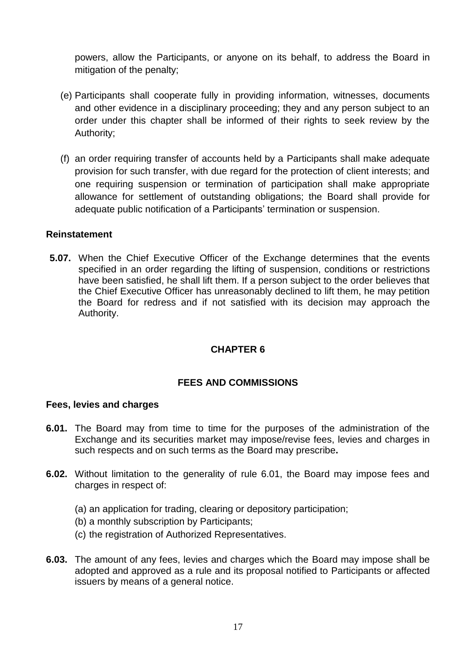powers, allow the Participants, or anyone on its behalf, to address the Board in mitigation of the penalty;

- (e) Participants shall cooperate fully in providing information, witnesses, documents and other evidence in a disciplinary proceeding; they and any person subject to an order under this chapter shall be informed of their rights to seek review by the Authority;
- (f) an order requiring transfer of accounts held by a Participants shall make adequate provision for such transfer, with due regard for the protection of client interests; and one requiring suspension or termination of participation shall make appropriate allowance for settlement of outstanding obligations; the Board shall provide for adequate public notification of a Participants' termination or suspension.

### <span id="page-19-0"></span>**Reinstatement**

**5.07.** When the Chief Executive Officer of the Exchange determines that the events specified in an order regarding the lifting of suspension, conditions or restrictions have been satisfied, he shall lift them. If a person subject to the order believes that the Chief Executive Officer has unreasonably declined to lift them, he may petition the Board for redress and if not satisfied with its decision may approach the Authority.

### **CHAPTER 6**

### **FEES AND COMMISSIONS**

#### <span id="page-19-3"></span><span id="page-19-2"></span><span id="page-19-1"></span>**Fees, levies and charges**

- **6.01.** The Board may from time to time for the purposes of the administration of the Exchange and its securities market may impose/revise fees, levies and charges in such respects and on such terms as the Board may prescribe**.**
- **6.02.** Without limitation to the generality of rule 6.01, the Board may impose fees and charges in respect of:
	- (a) an application for trading, clearing or depository participation;
	- (b) a monthly subscription by Participants;
	- (c) the registration of Authorized Representatives.
- **6.03.** The amount of any fees, levies and charges which the Board may impose shall be adopted and approved as a rule and its proposal notified to Participants or affected issuers by means of a general notice.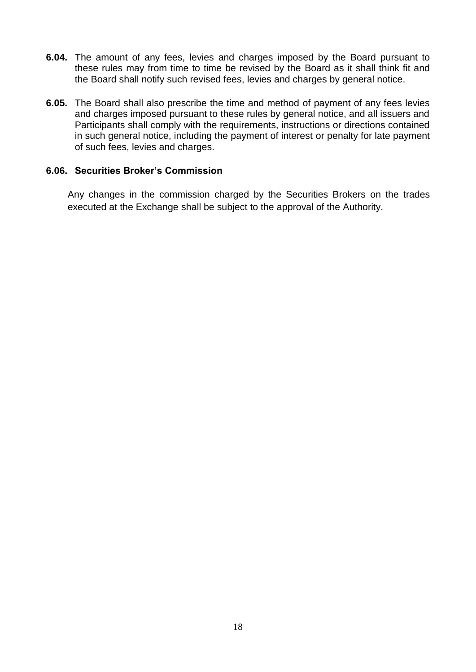- **6.04.** The amount of any fees, levies and charges imposed by the Board pursuant to these rules may from time to time be revised by the Board as it shall think fit and the Board shall notify such revised fees, levies and charges by general notice.
- **6.05.** The Board shall also prescribe the time and method of payment of any fees levies and charges imposed pursuant to these rules by general notice, and all issuers and Participants shall comply with the requirements, instructions or directions contained in such general notice, including the payment of interest or penalty for late payment of such fees, levies and charges.

#### <span id="page-20-0"></span>**6.06. Securities Broker's Commission**

 Any changes in the commission charged by the Securities Brokers on the trades executed at the Exchange shall be subject to the approval of the Authority.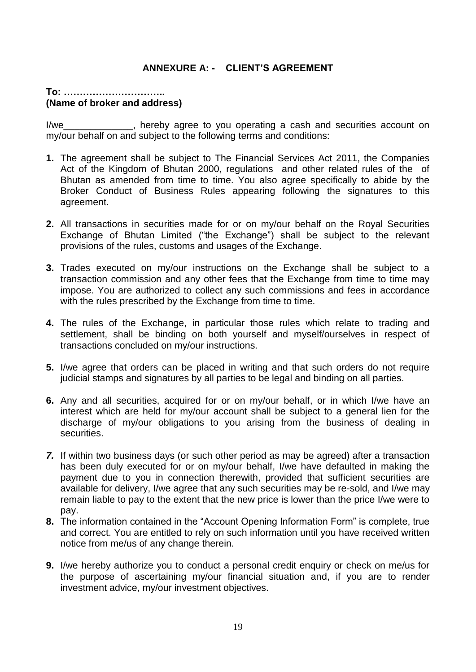### **ANNEXURE A: - CLIENT'S AGREEMENT**

### <span id="page-21-0"></span>**To: ………………………….. (Name of broker and address)**

I/we state of the reply agree to you operating a cash and securities account on my/our behalf on and subject to the following terms and conditions:

- **1.** The agreement shall be subject to The Financial Services Act 2011, the Companies Act of the Kingdom of Bhutan 2000, regulations and other related rules of the of Bhutan as amended from time to time. You also agree specifically to abide by the Broker Conduct of Business Rules appearing following the signatures to this agreement.
- **2.** All transactions in securities made for or on my/our behalf on the Royal Securities Exchange of Bhutan Limited ("the Exchange") shall be subject to the relevant provisions of the rules, customs and usages of the Exchange.
- **3.** Trades executed on my/our instructions on the Exchange shall be subject to a transaction commission and any other fees that the Exchange from time to time may impose. You are authorized to collect any such commissions and fees in accordance with the rules prescribed by the Exchange from time to time.
- **4.** The rules of the Exchange, in particular those rules which relate to trading and settlement, shall be binding on both yourself and myself/ourselves in respect of transactions concluded on my/our instructions.
- **5.** I/we agree that orders can be placed in writing and that such orders do not require judicial stamps and signatures by all parties to be legal and binding on all parties.
- **6.** Any and all securities, acquired for or on my/our behalf, or in which I/we have an interest which are held for my/our account shall be subject to a general lien for the discharge of my/our obligations to you arising from the business of dealing in securities.
- *7.* If within two business days (or such other period as may be agreed) after a transaction has been duly executed for or on my/our behalf, I/we have defaulted in making the payment due to you in connection therewith, provided that sufficient securities are available for delivery, I/we agree that any such securities may be re-sold, and I/we may remain liable to pay to the extent that the new price is lower than the price I/we were to pay.
- **8.** The information contained in the "Account Opening Information Form" is complete, true and correct. You are entitled to rely on such information until you have received written notice from me/us of any change therein.
- **9.** I/we hereby authorize you to conduct a personal credit enquiry or check on me/us for the purpose of ascertaining my/our financial situation and, if you are to render investment advice, my/our investment objectives.